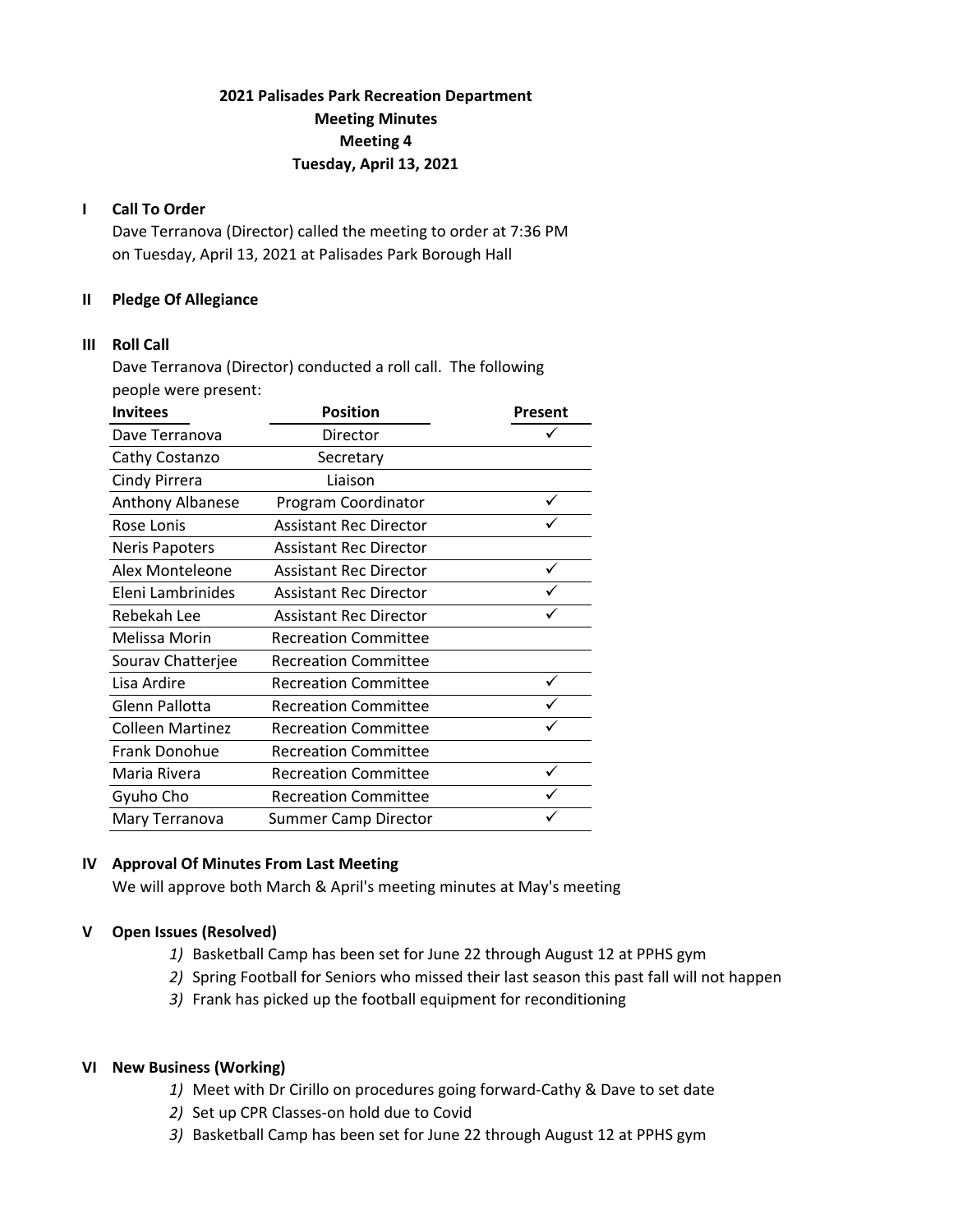# **2021 Palisades Park Recreation Department Meeting Minutes Meeting 4 Tuesday, April 13, 2021**

## **I Call To Order**

Dave Terranova (Director) called the meeting to order at 7:36 PM on Tuesday, April 13, 2021 at Palisades Park Borough Hall

## **II Pledge Of Allegiance**

#### **III Roll Call**

Dave Terranova (Director) conducted a roll call. The following people were present:

| <b>Invitees</b>         | <b>Position</b>               | Present |
|-------------------------|-------------------------------|---------|
| Dave Terranova          | Director                      |         |
| Cathy Costanzo          | Secretary                     |         |
| Cindy Pirrera           | Liaison                       |         |
| Anthony Albanese        | Program Coordinator           |         |
| Rose Lonis              | <b>Assistant Rec Director</b> |         |
| <b>Neris Papoters</b>   | <b>Assistant Rec Director</b> |         |
| Alex Monteleone         | <b>Assistant Rec Director</b> |         |
| Eleni Lambrinides       | <b>Assistant Rec Director</b> |         |
| Rebekah Lee             | <b>Assistant Rec Director</b> |         |
| Melissa Morin           | <b>Recreation Committee</b>   |         |
| Sourav Chatterjee       | <b>Recreation Committee</b>   |         |
| Lisa Ardire             | <b>Recreation Committee</b>   |         |
| Glenn Pallotta          | <b>Recreation Committee</b>   |         |
| <b>Colleen Martinez</b> | <b>Recreation Committee</b>   |         |
| Frank Donohue           | <b>Recreation Committee</b>   |         |
| Maria Rivera            | <b>Recreation Committee</b>   |         |
| Gyuho Cho               | <b>Recreation Committee</b>   |         |
| Mary Terranova          | <b>Summer Camp Director</b>   |         |

# **IV Approval Of Minutes From Last Meeting**

We will approve both March & April's meeting minutes at May's meeting

# **V Open Issues (Resolved)**

- *1)* Basketball Camp has been set for June 22 through August 12 at PPHS gym
- *2)* Spring Football for Seniors who missed their last season this past fall will not happen
- *3)* Frank has picked up the football equipment for reconditioning

#### **VI New Business (Working)**

- *1)* Meet with Dr Cirillo on procedures going forward‐Cathy & Dave to set date
- *2)* Set up CPR Classes‐on hold due to Covid
- *3)* Basketball Camp has been set for June 22 through August 12 at PPHS gym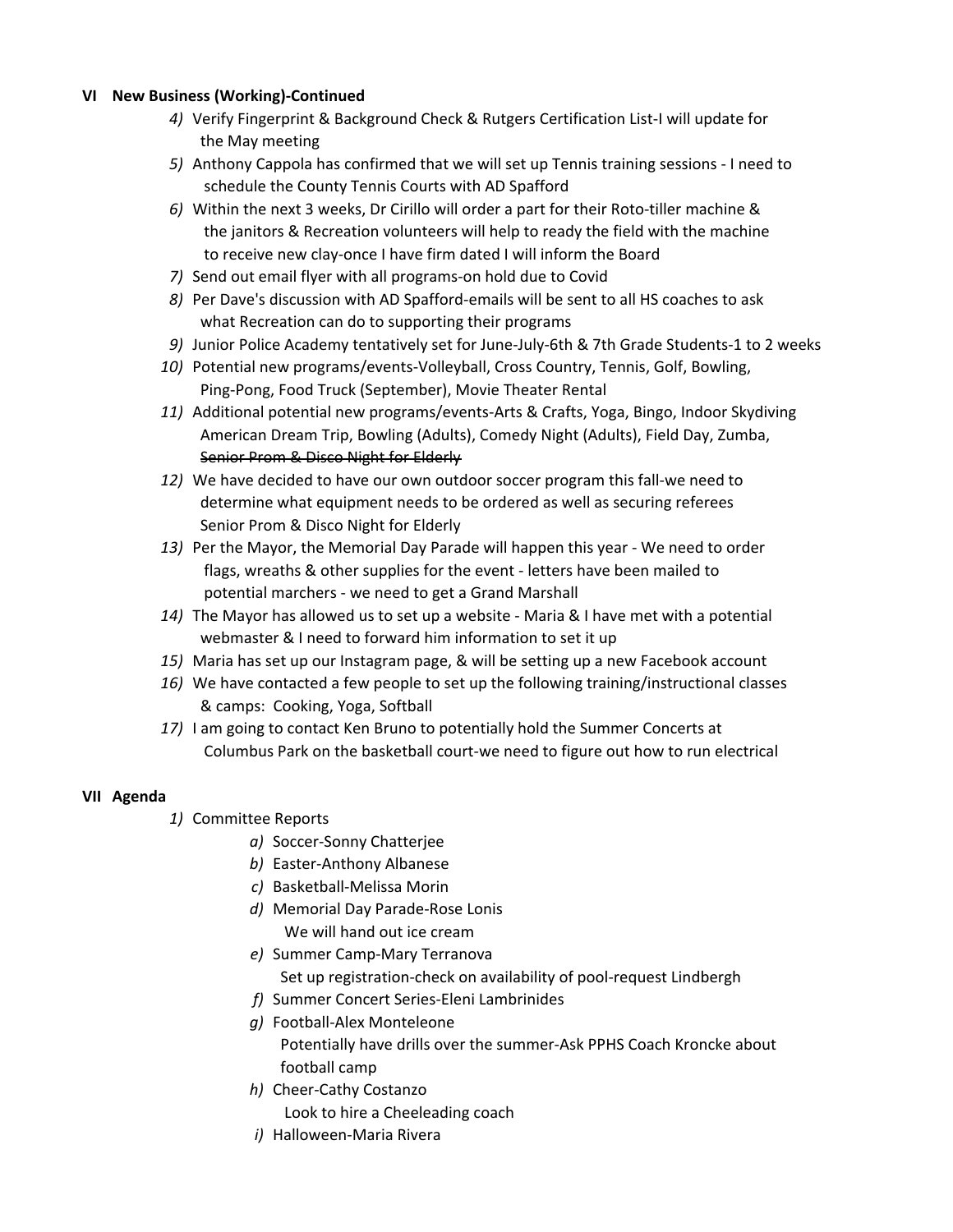## **VI New Business (Working)‐Continued**

- *4)* Verify Fingerprint & Background Check & Rutgers Certification List‐I will update for the May meeting
- *5)* Anthony Cappola has confirmed that we will set up Tennis training sessions ‐ I need to schedule the County Tennis Courts with AD Spafford
- *6)* Within the next 3 weeks, Dr Cirillo will order a part for their Roto‐tiller machine & the janitors & Recreation volunteers will help to ready the field with the machine to receive new clay‐once I have firm dated I will inform the Board
- *7)* Send out email flyer with all programs‐on hold due to Covid
- *8)* Per Dave's discussion with AD Spafford‐emails will be sent to all HS coaches to ask what Recreation can do to supporting their programs
- *9)* Junior Police Academy tentatively set for June‐July‐6th & 7th Grade Students‐1 to 2 weeks
- *10)* Potential new programs/events‐Volleyball, Cross Country, Tennis, Golf, Bowling, Ping‐Pong, Food Truck (September), Movie Theater Rental
- *11)* Additional potential new programs/events‐Arts & Crafts, Yoga, Bingo, Indoor Skydiving American Dream Trip, Bowling (Adults), Comedy Night (Adults), Field Day, Zumba, Senior Prom & Disco Night for Elderly
- *12)* We have decided to have our own outdoor soccer program this fall‐we need to determine what equipment needs to be ordered as well as securing referees Senior Prom & Disco Night for Elderly
- *13)* Per the Mayor, the Memorial Day Parade will happen this year ‐ We need to order flags, wreaths & other supplies for the event ‐ letters have been mailed to potential marchers ‐ we need to get a Grand Marshall
- *14)* The Mayor has allowed us to set up a website ‐ Maria & I have met with a potential webmaster & I need to forward him information to set it up
- *15)* Maria has set up our Instagram page, & will be setting up a new Facebook account
- *16)* We have contacted a few people to set up the following training/instructional classes & camps: Cooking, Yoga, Softball
- *17)* I am going to contact Ken Bruno to potentially hold the Summer Concerts at Columbus Park on the basketball court‐we need to figure out how to run electrical

# **VII Agenda**

- *1)* Committee Reports
	- *a)* Soccer‐Sonny Chatterjee
	- *b)* Easter‐Anthony Albanese
	- *c)* Basketball‐Melissa Morin
	- *d)* Memorial Day Parade‐Rose Lonis We will hand out ice cream
	- *e)* Summer Camp‐Mary Terranova Set up registration-check on availability of pool-request Lindbergh
	- *f)* Summer Concert Series‐Eleni Lambrinides
	- *g)* Football‐Alex Monteleone Potentially have drills over the summer‐Ask PPHS Coach Kroncke about football camp
	- *h)* Cheer‐Cathy Costanzo Look to hire a Cheeleading coach
	- *i)* Halloween‐Maria Rivera